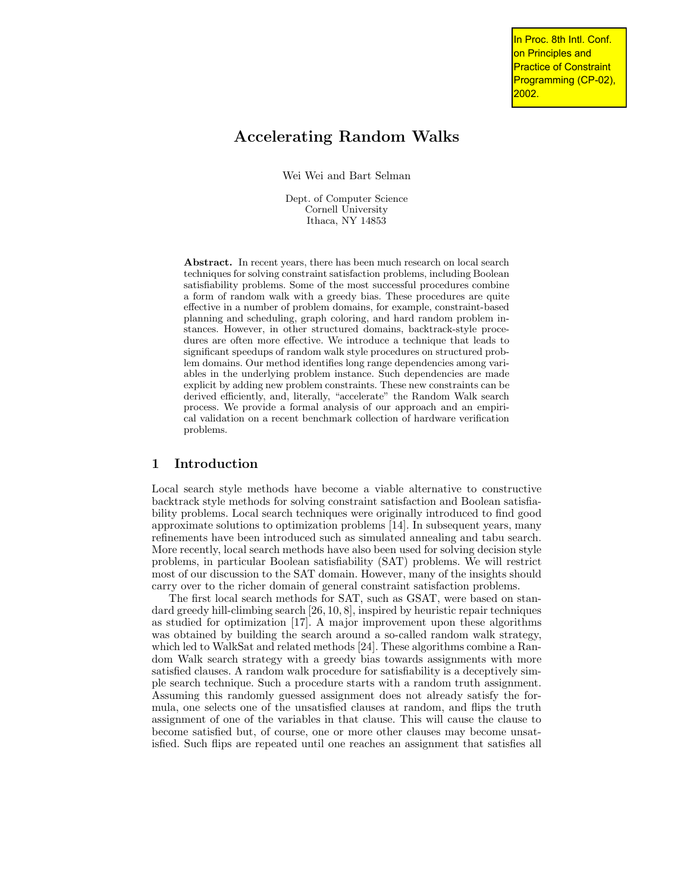In Proc. 8th Intl. Conf. on Principles and Practice of Constraint Programming (CP-02), 2002.

# **Accelerating Random Walks**

Wei Wei and Bart Selman

Dept. of Computer Science Cornell University Ithaca, NY 14853

Abstract. In recent years, there has been much research on local search techniques for solving constraint satisfaction problems, including Boolean satisfiability problems. Some of the most successful procedures combine a form of random walk with a greedy bias. These procedures are quite effective in a number of problem domains, for example, constraint-based planning and scheduling, graph coloring, and hard random problem instances. However, in other structured domains, backtrack-style procedures are often more effective. We introduce a technique that leads to significant speedups of random walk style procedures on structured problem domains. Our method identifies long range dependencies among variables in the underlying problem instance. Such dependencies are made explicit by adding new problem constraints. These new constraints can be derived efficiently, and, literally, "accelerate" the Random Walk search process. We provide a formal analysis of our approach and an empirical validation on a recent benchmark collection of hardware verification problems.

## **1 Introduction**

Local search style methods have become a viable alternative to constructive backtrack style methods for solving constraint satisfaction and Boolean satisfiability problems. Local search techniques were originally introduced to find good approximate solutions to optimization problems [14]. In subsequent years, many refinements have been introduced such as simulated annealing and tabu search. More recently, local search methods have also been used for solving decision style problems, in particular Boolean satisfiability (SAT) problems. We will restrict most of our discussion to the SAT domain. However, many of the insights should carry over to the richer domain of general constraint satisfaction problems.

The first local search methods for SAT, such as GSAT, were based on standard greedy hill-climbing search [26, 10, 8], inspired by heuristic repair techniques as studied for optimization [17]. A major improvement upon these algorithms was obtained by building the search around a so-called random walk strategy, which led to WalkSat and related methods [24]. These algorithms combine a Random Walk search strategy with a greedy bias towards assignments with more satisfied clauses. A random walk procedure for satisfiability is a deceptively simple search technique. Such a procedure starts with a random truth assignment. Assuming this randomly guessed assignment does not already satisfy the formula, one selects one of the unsatisfied clauses at random, and flips the truth assignment of one of the variables in that clause. This will cause the clause to become satisfied but, of course, one or more other clauses may become unsatisfied. Such flips are repeated until one reaches an assignment that satisfies all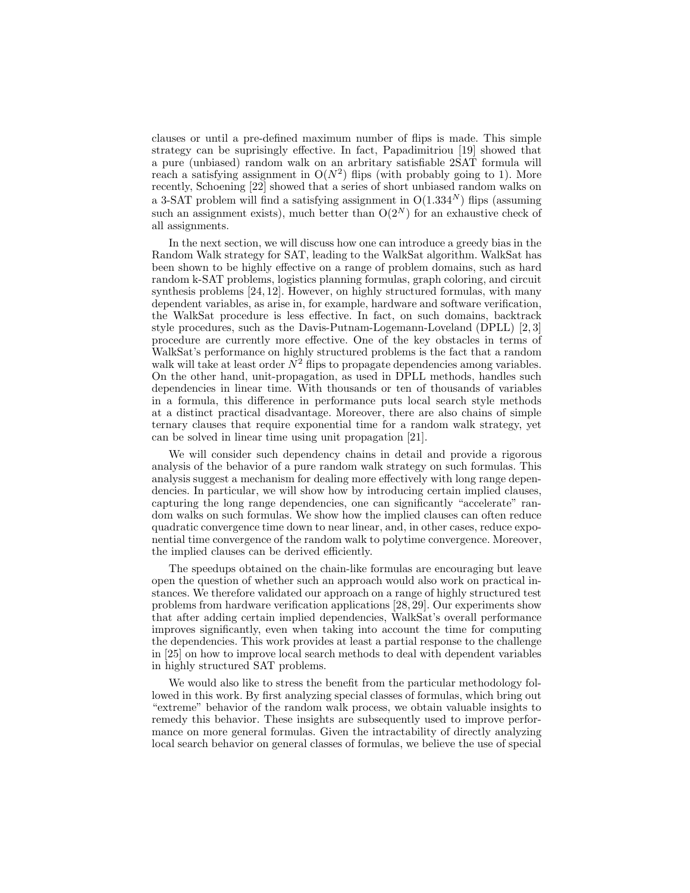clauses or until a pre-defined maximum number of flips is made. This simple strategy can be suprisingly effective. In fact, Papadimitriou [19] showed that a pure (unbiased) random walk on an arbritary satisfiable 2SAT formula will reach a satisfying assignment in  $O(N^2)$  flips (with probably going to 1). More recently, Schoening [22] showed that a series of short unbiased random walks on a 3-SAT problem will find a satisfying assignment in  $O(1.334<sup>N</sup>)$  flips (assuming such an assignment exists), much better than  $O(2^N)$  for an exhaustive check of all assignments.

In the next section, we will discuss how one can introduce a greedy bias in the Random Walk strategy for SAT, leading to the WalkSat algorithm. WalkSat has been shown to be highly effective on a range of problem domains, such as hard random k-SAT problems, logistics planning formulas, graph coloring, and circuit synthesis problems [24, 12]. However, on highly structured formulas, with many dependent variables, as arise in, for example, hardware and software verification, the WalkSat procedure is less effective. In fact, on such domains, backtrack style procedures, such as the Davis-Putnam-Logemann-Loveland (DPLL) [2, 3] procedure are currently more effective. One of the key obstacles in terms of WalkSat's performance on highly structured problems is the fact that a random walk will take at least order  $N^2$  flips to propagate dependencies among variables. On the other hand, unit-propagation, as used in DPLL methods, handles such dependencies in linear time. With thousands or ten of thousands of variables in a formula, this difference in performance puts local search style methods at a distinct practical disadvantage. Moreover, there are also chains of simple ternary clauses that require exponential time for a random walk strategy, yet can be solved in linear time using unit propagation [21].

We will consider such dependency chains in detail and provide a rigorous analysis of the behavior of a pure random walk strategy on such formulas. This analysis suggest a mechanism for dealing more effectively with long range dependencies. In particular, we will show how by introducing certain implied clauses, capturing the long range dependencies, one can significantly "accelerate" random walks on such formulas. We show how the implied clauses can often reduce quadratic convergence time down to near linear, and, in other cases, reduce exponential time convergence of the random walk to polytime convergence. Moreover, the implied clauses can be derived efficiently.

The speedups obtained on the chain-like formulas are encouraging but leave open the question of whether such an approach would also work on practical instances. We therefore validated our approach on a range of highly structured test problems from hardware verification applications [28, 29]. Our experiments show that after adding certain implied dependencies, WalkSat's overall performance improves significantly, even when taking into account the time for computing the dependencies. This work provides at least a partial response to the challenge in [25] on how to improve local search methods to deal with dependent variables in highly structured SAT problems.

We would also like to stress the benefit from the particular methodology followed in this work. By first analyzing special classes of formulas, which bring out "extreme" behavior of the random walk process, we obtain valuable insights to remedy this behavior. These insights are subsequently used to improve performance on more general formulas. Given the intractability of directly analyzing local search behavior on general classes of formulas, we believe the use of special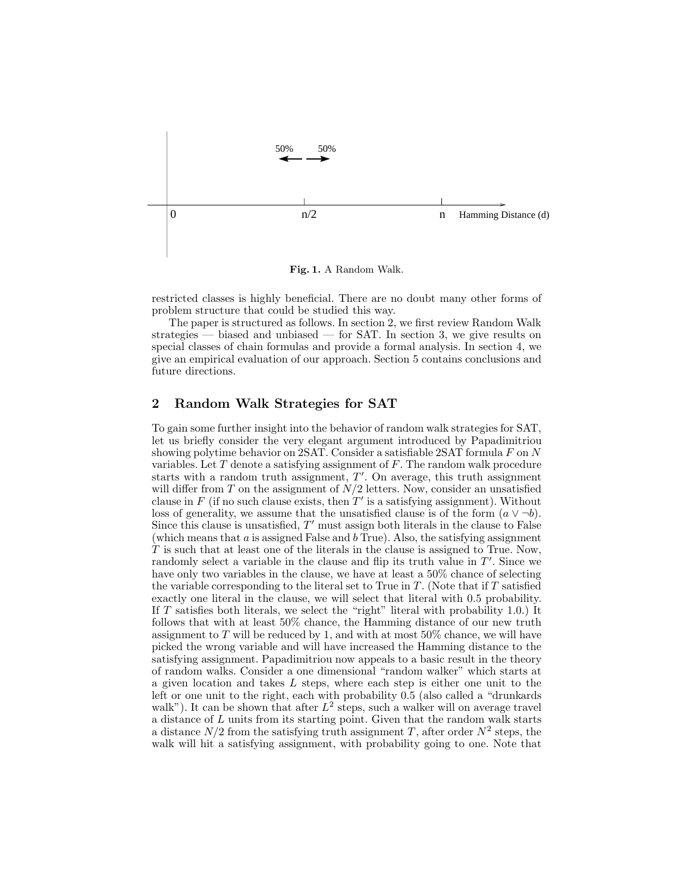

**Fig. 1.** A Random Walk.

restricted classes is highly beneficial. There are no doubt many other forms of problem structure that could be studied this way.

The paper is structured as follows. In section 2, we first review Random Walk strategies — biased and unbiased — for SAT. In section 3, we give results on special classes of chain formulas and provide a formal analysis. In section 4, we give an empirical evaluation of our approach. Section 5 contains conclusions and future directions.

## **2 Random Walk Strategies for SAT**

To gain some further insight into the behavior of random walk strategies for SAT, let us briefly consider the very elegant argument introduced by Papadimitriou showing polytime behavior on 2SAT. Consider a satisfiable 2SAT formula F on N variables. Let  $T$  denote a satisfying assignment of  $F$ . The random walk procedure starts with a random truth assignment,  $T'$ . On average, this truth assignment will differ from  $T$  on the assignment of  $N/2$  letters. Now, consider an unsatisfied clause in F (if no such clause exists, then  $T'$  is a satisfying assignment). Without loss of generality, we assume that the unsatisfied clause is of the form  $(a \vee \neg b)$ . Since this clause is unsatisfied,  $T'$  must assign both literals in the clause to False (which means that  $a$  is assigned False and  $b$  True). Also, the satisfying assignment T is such that at least one of the literals in the clause is assigned to True. Now, randomly select a variable in the clause and flip its truth value in  $T'$ . Since we have only two variables in the clause, we have at least a  $50\%$  chance of selecting the variable corresponding to the literal set to True in  $T$ . (Note that if  $T$  satisfied exactly one literal in the clause, we will select that literal with 0.5 probability. If T satisfies both literals, we select the "right" literal with probability 1.0.) It follows that with at least 50% chance, the Hamming distance of our new truth assignment to  $T$  will be reduced by 1, and with at most 50% chance, we will have picked the wrong variable and will have increased the Hamming distance to the satisfying assignment. Papadimitriou now appeals to a basic result in the theory of random walks. Consider a one dimensional "random walker" which starts at a given location and takes L steps, where each step is either one unit to the left or one unit to the right, each with probability 0.5 (also called a "drunkards walk"). It can be shown that after  $L^2$  steps, such a walker will on average travel a distance of L units from its starting point. Given that the random walk starts a distance  $N/2$  from the satisfying truth assignment T, after order  $N^2$  steps, the walk will hit a satisfying assignment, with probability going to one. Note that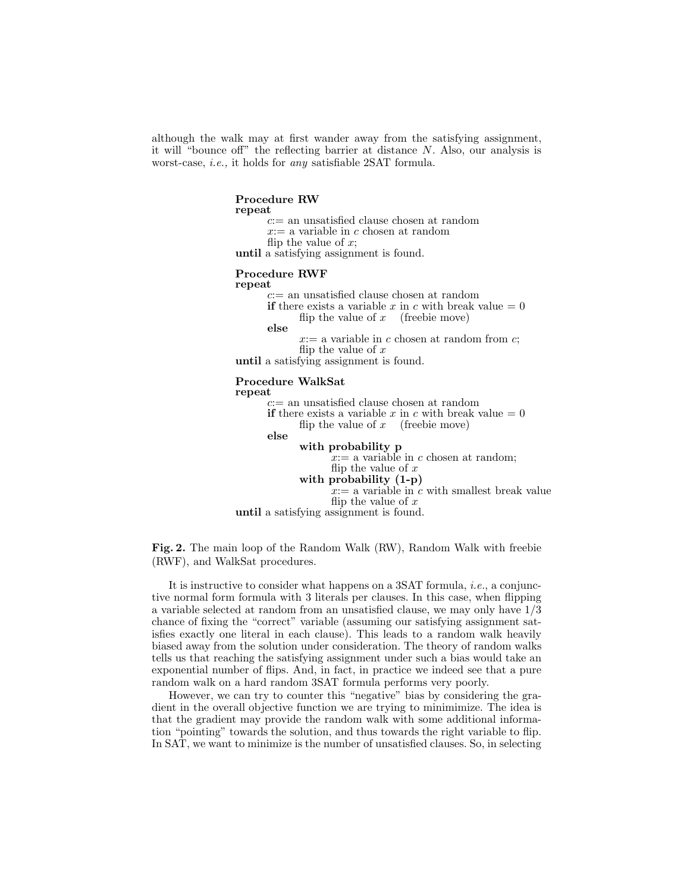although the walk may at first wander away from the satisfying assignment, it will "bounce off" the reflecting barrier at distance N. Also, our analysis is worst-case, *i.e.,* it holds for *any* satisfiable 2SAT formula.

#### **Procedure RW**

#### **repeat**

 $c:=$  an unsatisfied clause chosen at random

 $x:=$  a variable in c chosen at random

flip the value of  $x$ ;

**until** a satisfying assignment is found.

#### **Procedure RWF**

#### **repeat**

 $c=$  an unsatisfied clause chosen at random **if** there exists a variable x in c with break value  $= 0$ flip the value of  $x$  (freebie move) **else**  $x:=$  a variable in c chosen at random from c; flip the value of  $x$ 

**until** a satisfying assignment is found.

#### **Procedure WalkSat**

**repeat**

 $=$  an unsatisfied clause chosen at random **if** there exists a variable x in c with break value  $= 0$ flip the value of  $x$  (freebie move) **else with probability p**  $x:=$  a variable in c chosen at random; flip the value of  $x$ **with probability (1-p)**  $x:=$  a variable in c with smallest break value flip the value of  $x$ **until** a satisfying assignment is found.

**Fig. 2.** The main loop of the Random Walk (RW), Random Walk with freebie (RWF), and WalkSat procedures.

It is instructive to consider what happens on a 3SAT formula, *i.e.*, a conjunctive normal form formula with 3 literals per clauses. In this case, when flipping a variable selected at random from an unsatisfied clause, we may only have 1/3 chance of fixing the "correct" variable (assuming our satisfying assignment satisfies exactly one literal in each clause). This leads to a random walk heavily biased away from the solution under consideration. The theory of random walks tells us that reaching the satisfying assignment under such a bias would take an exponential number of flips. And, in fact, in practice we indeed see that a pure random walk on a hard random 3SAT formula performs very poorly.

However, we can try to counter this "negative" bias by considering the gradient in the overall objective function we are trying to minimimize. The idea is that the gradient may provide the random walk with some additional information "pointing" towards the solution, and thus towards the right variable to flip. In SAT, we want to minimize is the number of unsatisfied clauses. So, in selecting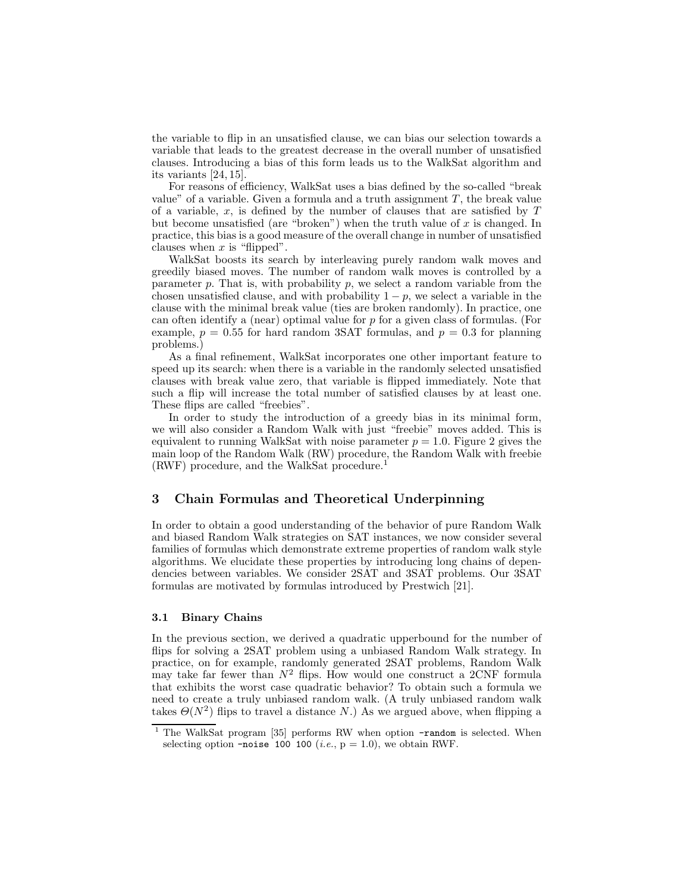the variable to flip in an unsatisfied clause, we can bias our selection towards a variable that leads to the greatest decrease in the overall number of unsatisfied clauses. Introducing a bias of this form leads us to the WalkSat algorithm and its variants [24, 15].

For reasons of efficiency, WalkSat uses a bias defined by the so-called "break value" of a variable. Given a formula and a truth assignment  $T$ , the break value of a variable,  $x$ , is defined by the number of clauses that are satisfied by  $T$ but become unsatisfied (are "broken") when the truth value of  $x$  is changed. In practice, this bias is a good measure of the overall change in number of unsatisfied clauses when  $x$  is "flipped".

WalkSat boosts its search by interleaving purely random walk moves and greedily biased moves. The number of random walk moves is controlled by a parameter  $p$ . That is, with probability  $p$ , we select a random variable from the chosen unsatisfied clause, and with probability  $1 - p$ , we select a variable in the clause with the minimal break value (ties are broken randomly). In practice, one can often identify a (near) optimal value for  $p$  for a given class of formulas. (For example,  $p = 0.55$  for hard random 3SAT formulas, and  $p = 0.3$  for planning problems.)

As a final refinement, WalkSat incorporates one other important feature to speed up its search: when there is a variable in the randomly selected unsatisfied clauses with break value zero, that variable is flipped immediately. Note that such a flip will increase the total number of satisfied clauses by at least one. These flips are called "freebies".

In order to study the introduction of a greedy bias in its minimal form, we will also consider a Random Walk with just "freebie" moves added. This is equivalent to running WalkSat with noise parameter  $p = 1.0$ . Figure 2 gives the main loop of the Random Walk (RW) procedure, the Random Walk with freebie (RWF) procedure, and the WalkSat procedure.1

#### **3 Chain Formulas and Theoretical Underpinning**

In order to obtain a good understanding of the behavior of pure Random Walk and biased Random Walk strategies on SAT instances, we now consider several families of formulas which demonstrate extreme properties of random walk style algorithms. We elucidate these properties by introducing long chains of dependencies between variables. We consider 2SAT and 3SAT problems. Our 3SAT formulas are motivated by formulas introduced by Prestwich [21].

#### **3.1 Binary Chains**

In the previous section, we derived a quadratic upperbound for the number of flips for solving a 2SAT problem using a unbiased Random Walk strategy. In practice, on for example, randomly generated 2SAT problems, Random Walk may take far fewer than  $N^2$  flips. How would one construct a 2CNF formula that exhibits the worst case quadratic behavior? To obtain such a formula we need to create a truly unbiased random walk. (A truly unbiased random walk takes  $\Theta(N^2)$  flips to travel a distance N.) As we argued above, when flipping a

<sup>&</sup>lt;sup>1</sup> The WalkSat program [35] performs RW when option -random is selected. When selecting option -noise 100 100 (*i.e.*,  $p = 1.0$ ), we obtain RWF.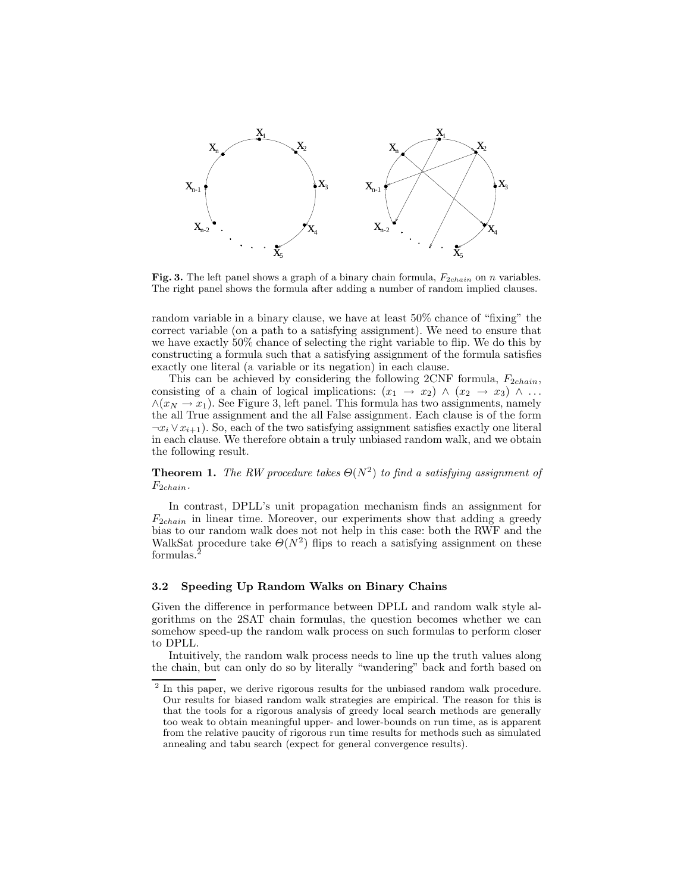

Fig. 3. The left panel shows a graph of a binary chain formula,  $F_{2chain}$  on n variables. The right panel shows the formula after adding a number of random implied clauses.

random variable in a binary clause, we have at least 50% chance of "fixing" the correct variable (on a path to a satisfying assignment). We need to ensure that we have exactly 50% chance of selecting the right variable to flip. We do this by constructing a formula such that a satisfying assignment of the formula satisfies exactly one literal (a variable or its negation) in each clause.

This can be achieved by considering the following  $2CNF$  formula,  $F_{2chain}$ , consisting of a chain of logical implications:  $(x_1 \rightarrow x_2) \land (x_2 \rightarrow x_3) \land \dots$  $\wedge (x_N \rightarrow x_1)$ . See Figure 3, left panel. This formula has two assignments, namely the all True assignment and the all False assignment. Each clause is of the form <sup>¬</sup>x*<sup>i</sup>* <sup>∨</sup>x*<sup>i</sup>*+1). So, each of the two satisfying assignment satisfies exactly one literal in each clause. We therefore obtain a truly unbiased random walk, and we obtain the following result.

**Theorem 1.** *The RW procedure takes*  $\Theta(N^2)$  *to find a satisfying assignment of*  $F_{2chain}$ .

In contrast, DPLL's unit propagation mechanism finds an assignment for <sup>F</sup>2*chain* in linear time. Moreover, our experiments show that adding a greedy bias to our random walk does not not help in this case: both the RWF and the WalkSat procedure take  $\Theta(N^2)$  flips to reach a satisfying assignment on these formulas.<sup>2</sup>

#### **3.2 Speeding Up Random Walks on Binary Chains**

Given the difference in performance between DPLL and random walk style algorithms on the 2SAT chain formulas, the question becomes whether we can somehow speed-up the random walk process on such formulas to perform closer to DPLL.

Intuitively, the random walk process needs to line up the truth values along the chain, but can only do so by literally "wandering" back and forth based on

In this paper, we derive rigorous results for the unbiased random walk procedure. Our results for biased random walk strategies are empirical. The reason for this is that the tools for a rigorous analysis of greedy local search methods are generally too weak to obtain meaningful upper- and lower-bounds on run time, as is apparent from the relative paucity of rigorous run time results for methods such as simulated annealing and tabu search (expect for general convergence results).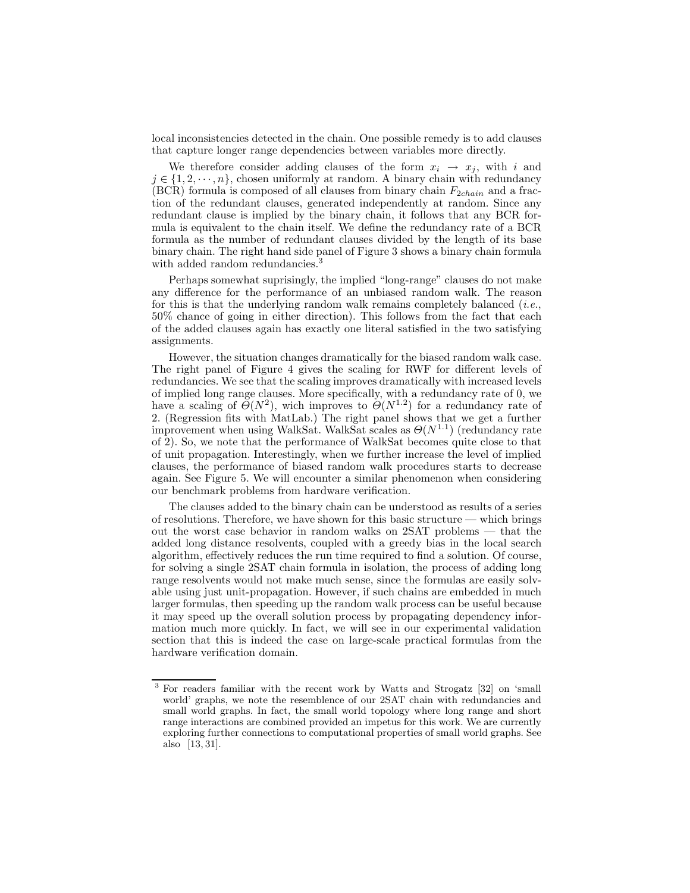local inconsistencies detected in the chain. One possible remedy is to add clauses that capture longer range dependencies between variables more directly.

We therefore consider adding clauses of the form  $x_i \rightarrow x_j$ , with i and  $j \in \{1, 2, \dots, n\}$ , chosen uniformly at random. A binary chain with redundancy  $(BCR)$  formula is composed of all clauses from binary chain  $F_{2chain}$  and a fraction of the redundant clauses, generated independently at random. Since any redundant clause is implied by the binary chain, it follows that any BCR formula is equivalent to the chain itself. We define the redundancy rate of a BCR formula as the number of redundant clauses divided by the length of its base binary chain. The right hand side panel of Figure 3 shows a binary chain formula with added random redundancies.<sup>3</sup>

Perhaps somewhat suprisingly, the implied "long-range" clauses do not make any difference for the performance of an unbiased random walk. The reason for this is that the underlying random walk remains completely balanced (*i.e.*, 50% chance of going in either direction). This follows from the fact that each of the added clauses again has exactly one literal satisfied in the two satisfying assignments.

However, the situation changes dramatically for the biased random walk case. The right panel of Figure 4 gives the scaling for RWF for different levels of redundancies. We see that the scaling improves dramatically with increased levels of implied long range clauses. More specifically, with a redundancy rate of 0, we have a scaling of  $\Theta(N^2)$ , wich improves to  $\Theta(N^{1.2})$  for a redundancy rate of 2. (Regression fits with MatLab.) The right panel shows that we get a further improvement when using WalkSat. WalkSat scales as  $\Theta(N^{1.1})$  (redundancy rate of 2). So, we note that the performance of WalkSat becomes quite close to that of unit propagation. Interestingly, when we further increase the level of implied clauses, the performance of biased random walk procedures starts to decrease again. See Figure 5. We will encounter a similar phenomenon when considering our benchmark problems from hardware verification.

The clauses added to the binary chain can be understood as results of a series of resolutions. Therefore, we have shown for this basic structure — which brings out the worst case behavior in random walks on 2SAT problems — that the added long distance resolvents, coupled with a greedy bias in the local search algorithm, effectively reduces the run time required to find a solution. Of course, for solving a single 2SAT chain formula in isolation, the process of adding long range resolvents would not make much sense, since the formulas are easily solvable using just unit-propagation. However, if such chains are embedded in much larger formulas, then speeding up the random walk process can be useful because it may speed up the overall solution process by propagating dependency information much more quickly. In fact, we will see in our experimental validation section that this is indeed the case on large-scale practical formulas from the hardware verification domain.

<sup>3</sup> For readers familiar with the recent work by Watts and Strogatz [32] on 'small world' graphs, we note the resemblence of our 2SAT chain with redundancies and small world graphs. In fact, the small world topology where long range and short range interactions are combined provided an impetus for this work. We are currently exploring further connections to computational properties of small world graphs. See also [13, 31].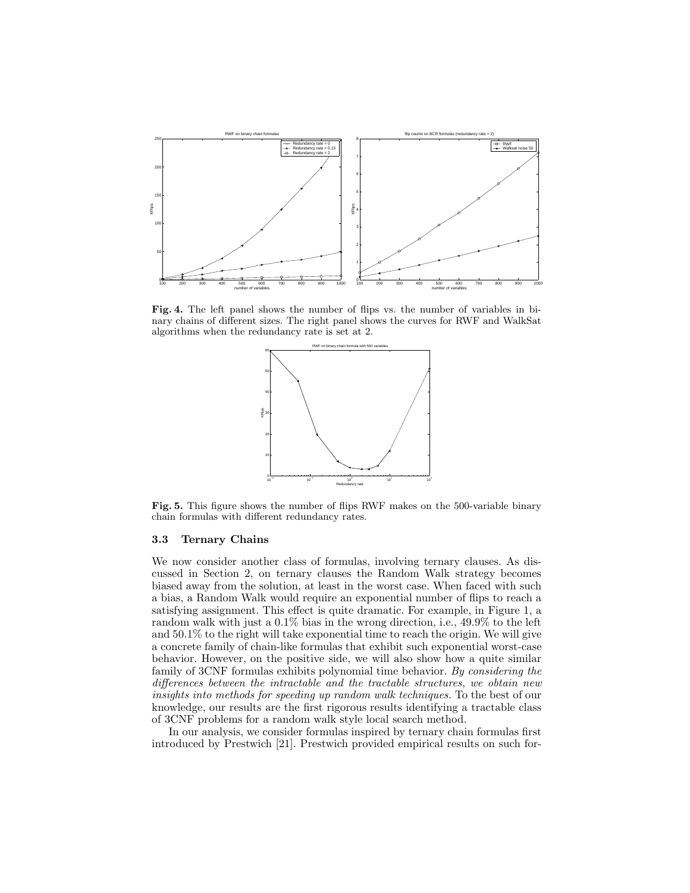

**Fig. 4.** The left panel shows the number of flips vs. the number of variables in binary chains of different sizes. The right panel shows the curves for RWF and WalkSat algorithms when the redundancy rate is set at 2.



**Fig. 5.** This figure shows the number of flips RWF makes on the 500-variable binary chain formulas with different redundancy rates.

#### **3.3 Ternary Chains**

We now consider another class of formulas, involving ternary clauses. As discussed in Section 2, on ternary clauses the Random Walk strategy becomes biased away from the solution, at least in the worst case. When faced with such a bias, a Random Walk would require an exponential number of flips to reach a satisfying assignment. This effect is quite dramatic. For example, in Figure 1, a random walk with just a 0.1% bias in the wrong direction, i.e., 49.9% to the left and 50.1% to the right will take exponential time to reach the origin. We will give a concrete family of chain-like formulas that exhibit such exponential worst-case behavior. However, on the positive side, we will also show how a quite similar family of 3CNF formulas exhibits polynomial time behavior. *By considering the differences between the intractable and the tractable structures, we obtain new insights into methods for speeding up random walk techniques.* To the best of our knowledge, our results are the first rigorous results identifying a tractable class of 3CNF problems for a random walk style local search method.

In our analysis, we consider formulas inspired by ternary chain formulas first introduced by Prestwich [21]. Prestwich provided empirical results on such for-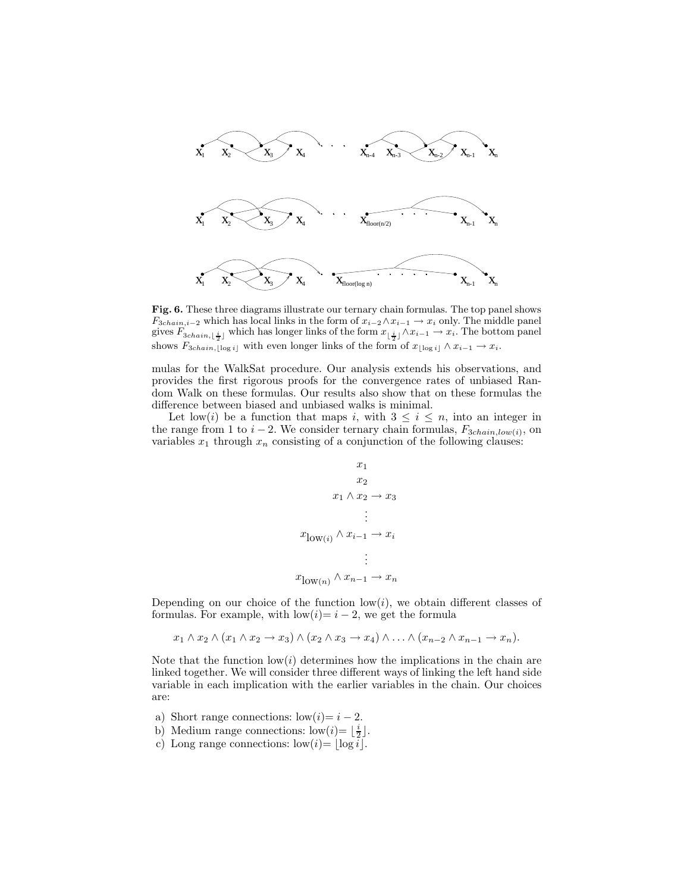

**Fig. 6.** These three diagrams illustrate our ternary chain formulas. The top panel shows  $F_{3chain,i-2}$  which has local links in the form of  $x_{i-2} \wedge x_{i-1} \rightarrow x_i$  only. The middle panel<br>gives  $F_{3chain,i_{\frac{i}{2}}\rfloor}$  which has longer links of the form  $x_{\lfloor \frac{i}{2} \rfloor} \wedge x_{i-1} \rightarrow x_i$ . The bottom panel shows  $F_{3chain, \lfloor \log i \rfloor}$  with even longer links of the form of  $x_{\lfloor \log i \rfloor} \wedge x_{i-1} \to x_i$ .

mulas for the WalkSat procedure. Our analysis extends his observations, and provides the first rigorous proofs for the convergence rates of unbiased Random Walk on these formulas. Our results also show that on these formulas the difference between biased and unbiased walks is minimal.

Let low(i) be a function that maps i, with  $3 \leq i \leq n$ , into an integer in the range from 1 to  $i - 2$ . We consider ternary chain formulas,  $F_{3chain,low(i)}$ , on variables  $x_1$  through  $x_n$  consisting of a conjunction of the following clauses:

$$
x_1
$$
  
\n
$$
x_2
$$
  
\n
$$
x_1 \wedge x_2 \rightarrow x_3
$$
  
\n
$$
\vdots
$$
  
\n
$$
x_{\text{low}(i)} \wedge x_{i-1} \rightarrow x_i
$$
  
\n
$$
\vdots
$$
  
\n
$$
x_{\text{low}(n)} \wedge x_{n-1} \rightarrow x_n
$$

Depending on our choice of the function  $\text{low}(i)$ , we obtain different classes of formulas. For example, with  $\text{low}(i) = i - 2$ , we get the formula

$$
x_1 \wedge x_2 \wedge (x_1 \wedge x_2 \rightarrow x_3) \wedge (x_2 \wedge x_3 \rightarrow x_4) \wedge \ldots \wedge (x_{n-2} \wedge x_{n-1} \rightarrow x_n).
$$

Note that the function  $\text{low}(i)$  determines how the implications in the chain are linked together. We will consider three different ways of linking the left hand side variable in each implication with the earlier variables in the chain. Our choices are:

- a) Short range connections:  $\text{low}(i) = i 2$ .
- b) Medium range connections:  $\text{low}(i) = \lfloor \frac{i}{2} \rfloor$ .<br>c) Long range connections:  $\text{low}(i) = \lfloor \log i \rfloor$ .
- c) Long range connections:  $\text{low}(i) = \lfloor \log i \rfloor$ .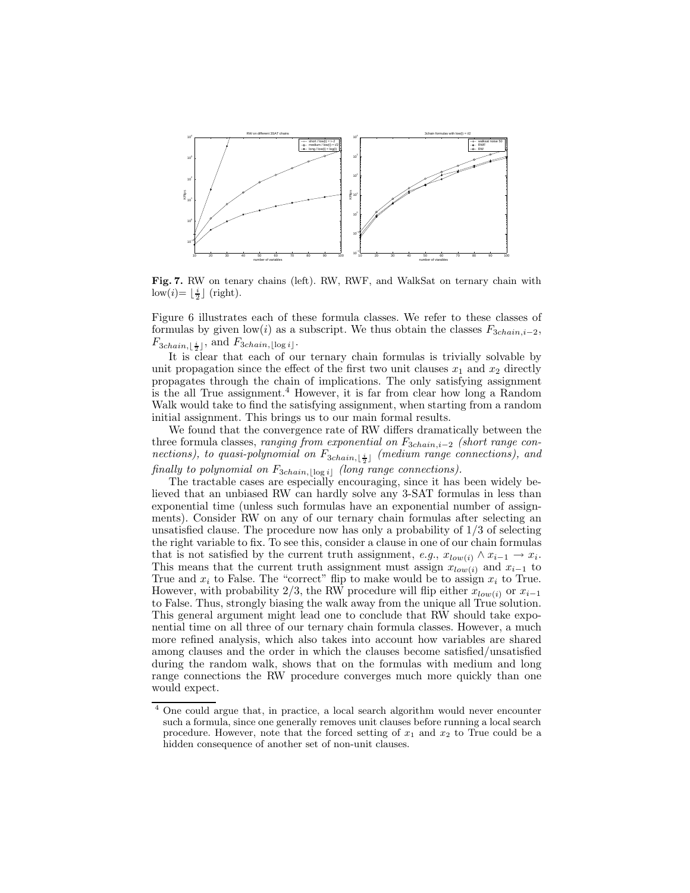

**Fig. 7.** RW on tenary chains (left). RW, RWF, and WalkSat on ternary chain with low(*i*)=  $\lfloor \frac{i}{2} \rfloor$  (right).

Figure 6 illustrates each of these formula classes. We refer to these classes of formulas by given  $\text{low}(i)$  as a subscript. We thus obtain the classes  $F_{3chain,i-2}$ ,  $F_{3chain, \lfloor \frac{i}{2} \rfloor}$ , and  $F_{3chain, \lfloor \log i \rfloor}$ .

It is clear that each of our ternary chain formulas is trivially solvable by unit propagation since the effect of the first two unit clauses  $x_1$  and  $x_2$  directly propagates through the chain of implications. The only satisfying assignment is the all True assignment.<sup>4</sup> However, it is far from clear how long a Random Walk would take to find the satisfying assignment, when starting from a random initial assignment. This brings us to our main formal results.

We found that the convergence rate of RW differs dramatically between the three formula classes, *ranging from exponential on* <sup>F</sup>3*chain,i*−2 *(short range connections*), to quasi-polynomial on  $F_{3chain, \lfloor \frac{i}{2} \rfloor}$  (medium range connections), and

*finally to polynomial on*  $F_{3chain, \lfloor \log i \rfloor}$  *(long range connections)*.<br>The tractable cases are especially encouraging, since it has been widely believed that an unbiased RW can hardly solve any 3-SAT formulas in less than exponential time (unless such formulas have an exponential number of assignments). Consider RW on any of our ternary chain formulas after selecting an unsatisfied clause. The procedure now has only a probability of 1/3 of selecting the right variable to fix. To see this, consider a clause in one of our chain formulas that is not satisfied by the current truth assignment, *e.g.*,  $x_{low(i)} \wedge x_{i-1} \rightarrow x_i$ . This means that the current truth assignment must assign  $x_{low(i)}$  and  $x_{i-1}$  to True and  $x_i$  to False. The "correct" flip to make would be to assign  $x_i$  to True. However, with probability 2/3, the RW procedure will flip either  $x_{low(i)}$  or  $x_{i-1}$ to False. Thus, strongly biasing the walk away from the unique all True solution. This general argument might lead one to conclude that RW should take exponential time on all three of our ternary chain formula classes. However, a much more refined analysis, which also takes into account how variables are shared among clauses and the order in which the clauses become satisfied/unsatisfied during the random walk, shows that on the formulas with medium and long range connections the RW procedure converges much more quickly than one would expect.

<sup>4</sup> One could argue that, in practice, a local search algorithm would never encounter such a formula, since one generally removes unit clauses before running a local search procedure. However, note that the forced setting of  $x_1$  and  $x_2$  to True could be a hidden consequence of another set of non-unit clauses.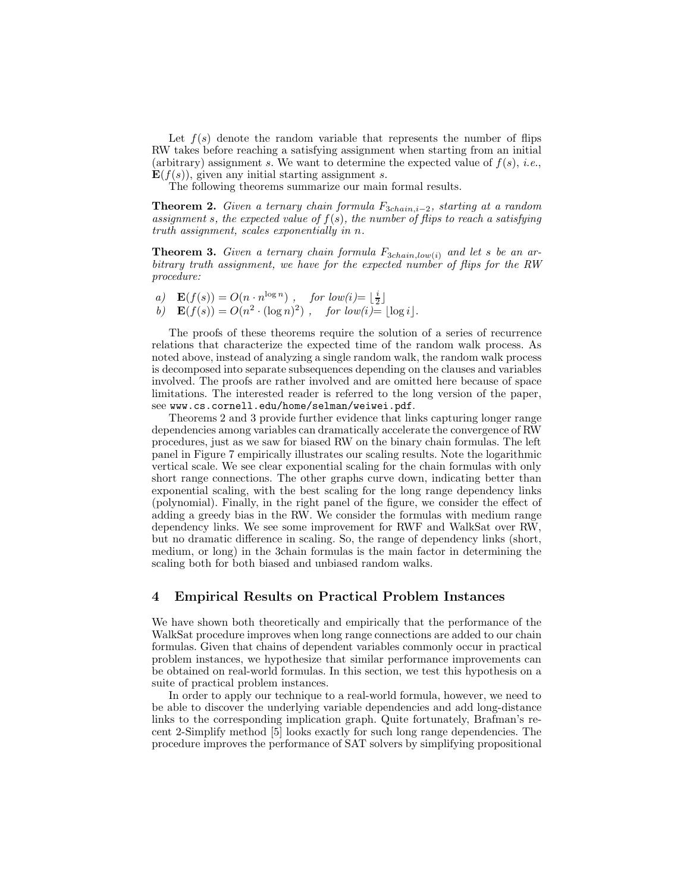Let  $f(s)$  denote the random variable that represents the number of flips RW takes before reaching a satisfying assignment when starting from an initial (arbitrary) assignment s. We want to determine the expected value of  $f(s)$ , *i.e.*,  $\mathbf{E}(f(s))$ , given any initial starting assignment s.

The following theorems summarize our main formal results.

**Theorem 2.** *Given a ternary chain formula* <sup>F</sup>3*chain,i*−2*, starting at a random assignment s, the expected value of*  $f(s)$ *, the number of flips to reach a satisfying truth assignment, scales exponentially in* n*.*

**Theorem 3.** *Given a ternary chain formula*  $F_{3chain,low(i)}$  *and let s be an arbitrary truth assignment, we have for the expected number of flips for the RW procedure:*

*a*)  $\mathbf{E}(f(s)) = O(n \cdot n^{\log n})$ , for  $low(i) = \lfloor \frac{i}{2} \rfloor$ <br> *b*)  $\mathbf{E}(f(s)) = O(n^2 \cdot (\log n)^2)$ , for  $low(i) = \lfloor \log i \rfloor$ .

The proofs of these theorems require the solution of a series of recurrence relations that characterize the expected time of the random walk process. As noted above, instead of analyzing a single random walk, the random walk process is decomposed into separate subsequences depending on the clauses and variables involved. The proofs are rather involved and are omitted here because of space limitations. The interested reader is referred to the long version of the paper, see www.cs.cornell.edu/home/selman/weiwei.pdf.

Theorems 2 and 3 provide further evidence that links capturing longer range dependencies among variables can dramatically accelerate the convergence of RW procedures, just as we saw for biased RW on the binary chain formulas. The left panel in Figure 7 empirically illustrates our scaling results. Note the logarithmic vertical scale. We see clear exponential scaling for the chain formulas with only short range connections. The other graphs curve down, indicating better than exponential scaling, with the best scaling for the long range dependency links (polynomial). Finally, in the right panel of the figure, we consider the effect of adding a greedy bias in the RW. We consider the formulas with medium range dependency links. We see some improvement for RWF and WalkSat over RW, but no dramatic difference in scaling. So, the range of dependency links (short, medium, or long) in the 3chain formulas is the main factor in determining the scaling both for both biased and unbiased random walks.

### **4 Empirical Results on Practical Problem Instances**

We have shown both theoretically and empirically that the performance of the WalkSat procedure improves when long range connections are added to our chain formulas. Given that chains of dependent variables commonly occur in practical problem instances, we hypothesize that similar performance improvements can be obtained on real-world formulas. In this section, we test this hypothesis on a suite of practical problem instances.

In order to apply our technique to a real-world formula, however, we need to be able to discover the underlying variable dependencies and add long-distance links to the corresponding implication graph. Quite fortunately, Brafman's recent 2-Simplify method [5] looks exactly for such long range dependencies. The procedure improves the performance of SAT solvers by simplifying propositional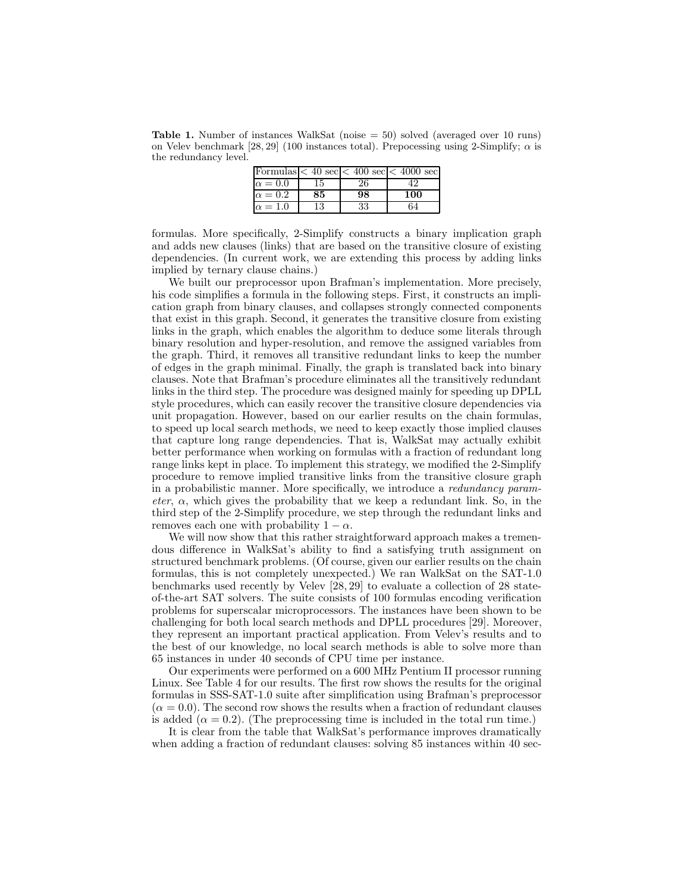**Table 1.** Number of instances WalkSat (noise = 50) solved (averaged over 10 runs) on Velev benchmark [28, 29] (100 instances total). Prepocessing using 2-Simplify;  $\alpha$  is the redundancy level.

|                |    |    | Formulas $< 40$ sec $< 400$ sec $< 4000$ sec |
|----------------|----|----|----------------------------------------------|
| $\alpha=0.0$   | 15 | 26 |                                              |
| $\alpha = 0.2$ | 85 | 98 | 100                                          |
| $\alpha = 1.0$ | 13 | 33 | 64                                           |

formulas. More specifically, 2-Simplify constructs a binary implication graph and adds new clauses (links) that are based on the transitive closure of existing dependencies. (In current work, we are extending this process by adding links implied by ternary clause chains.)

We built our preprocessor upon Brafman's implementation. More precisely, his code simplifies a formula in the following steps. First, it constructs an implication graph from binary clauses, and collapses strongly connected components that exist in this graph. Second, it generates the transitive closure from existing links in the graph, which enables the algorithm to deduce some literals through binary resolution and hyper-resolution, and remove the assigned variables from the graph. Third, it removes all transitive redundant links to keep the number of edges in the graph minimal. Finally, the graph is translated back into binary clauses. Note that Brafman's procedure eliminates all the transitively redundant links in the third step. The procedure was designed mainly for speeding up DPLL style procedures, which can easily recover the transitive closure dependencies via unit propagation. However, based on our earlier results on the chain formulas, to speed up local search methods, we need to keep exactly those implied clauses that capture long range dependencies. That is, WalkSat may actually exhibit better performance when working on formulas with a fraction of redundant long range links kept in place. To implement this strategy, we modified the 2-Simplify procedure to remove implied transitive links from the transitive closure graph in a probabilistic manner. More specifically, we introduce a *redundancy parameter*,  $\alpha$ , which gives the probability that we keep a redundant link. So, in the third step of the 2-Simplify procedure, we step through the redundant links and removes each one with probability  $1 - \alpha$ .

We will now show that this rather straightforward approach makes a tremendous difference in WalkSat's ability to find a satisfying truth assignment on structured benchmark problems. (Of course, given our earlier results on the chain formulas, this is not completely unexpected.) We ran WalkSat on the SAT-1.0 benchmarks used recently by Velev [28, 29] to evaluate a collection of 28 stateof-the-art SAT solvers. The suite consists of 100 formulas encoding verification problems for superscalar microprocessors. The instances have been shown to be challenging for both local search methods and DPLL procedures [29]. Moreover, they represent an important practical application. From Velev's results and to the best of our knowledge, no local search methods is able to solve more than 65 instances in under 40 seconds of CPU time per instance.

Our experiments were performed on a 600 MHz Pentium II processor running Linux. See Table 4 for our results. The first row shows the results for the original formulas in SSS-SAT-1.0 suite after simplification using Brafman's preprocessor  $(\alpha = 0.0)$ . The second row shows the results when a fraction of redundant clauses is added ( $\alpha = 0.2$ ). (The preprocessing time is included in the total run time.)

It is clear from the table that WalkSat's performance improves dramatically when adding a fraction of redundant clauses: solving 85 instances within 40 sec-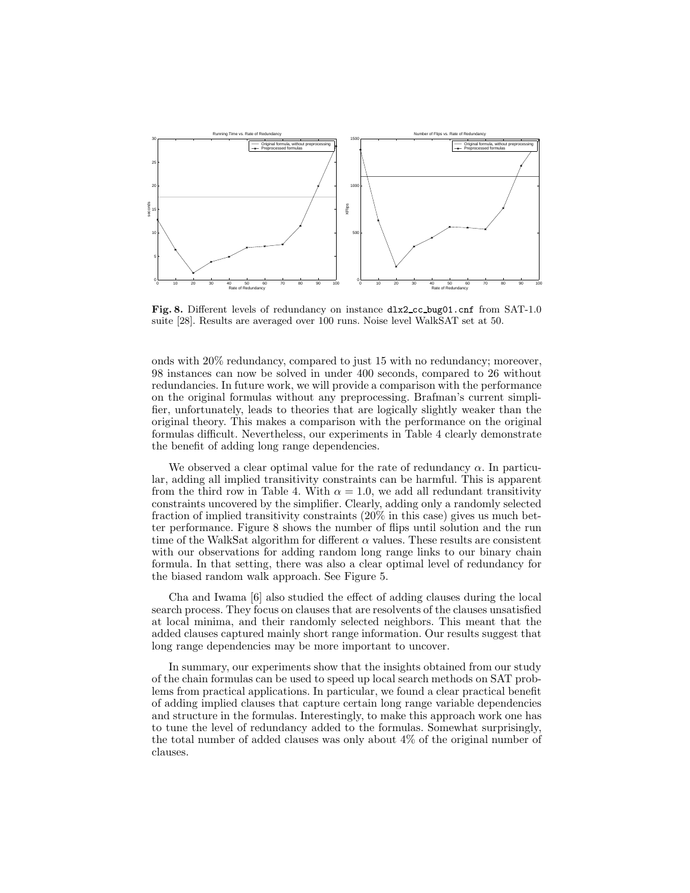

**Fig. 8.** Different levels of redundancy on instance  $dlx2_{cc}$  bug01.cnf from SAT-1.0 suite [28]. Results are averaged over 100 runs. Noise level WalkSAT set at 50.

onds with 20% redundancy, compared to just 15 with no redundancy; moreover, 98 instances can now be solved in under 400 seconds, compared to 26 without redundancies. In future work, we will provide a comparison with the performance on the original formulas without any preprocessing. Brafman's current simplifier, unfortunately, leads to theories that are logically slightly weaker than the original theory. This makes a comparison with the performance on the original formulas difficult. Nevertheless, our experiments in Table 4 clearly demonstrate the benefit of adding long range dependencies.

We observed a clear optimal value for the rate of redundancy  $\alpha$ . In particular, adding all implied transitivity constraints can be harmful. This is apparent from the third row in Table 4. With  $\alpha = 1.0$ , we add all redundant transitivity constraints uncovered by the simplifier. Clearly, adding only a randomly selected fraction of implied transitivity constraints (20% in this case) gives us much better performance. Figure 8 shows the number of flips until solution and the run time of the WalkSat algorithm for different  $\alpha$  values. These results are consistent with our observations for adding random long range links to our binary chain formula. In that setting, there was also a clear optimal level of redundancy for the biased random walk approach. See Figure 5.

Cha and Iwama [6] also studied the effect of adding clauses during the local search process. They focus on clauses that are resolvents of the clauses unsatisfied at local minima, and their randomly selected neighbors. This meant that the added clauses captured mainly short range information. Our results suggest that long range dependencies may be more important to uncover.

In summary, our experiments show that the insights obtained from our study of the chain formulas can be used to speed up local search methods on SAT problems from practical applications. In particular, we found a clear practical benefit of adding implied clauses that capture certain long range variable dependencies and structure in the formulas. Interestingly, to make this approach work one has to tune the level of redundancy added to the formulas. Somewhat surprisingly, the total number of added clauses was only about 4% of the original number of clauses.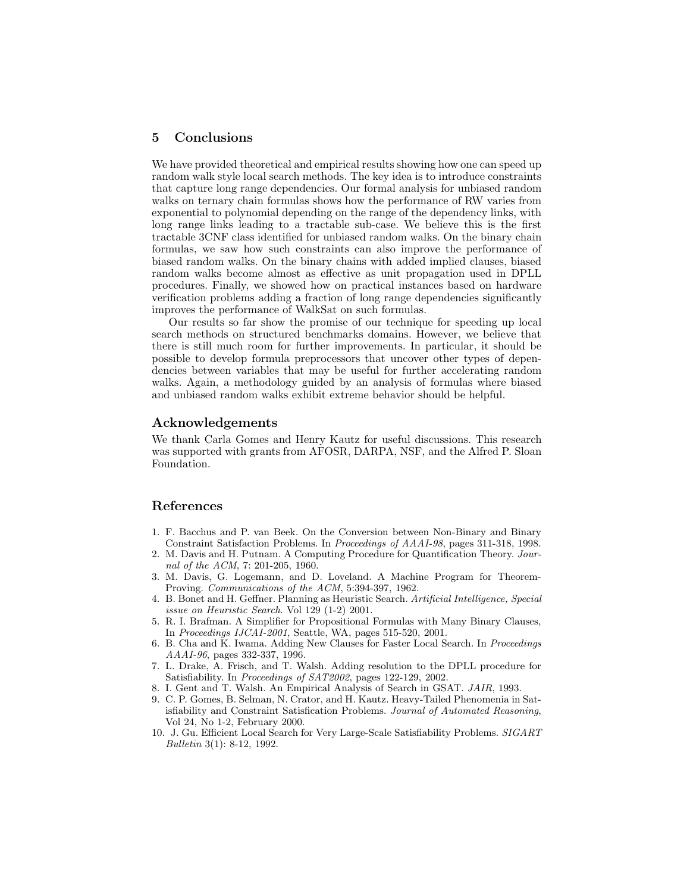### **5 Conclusions**

We have provided theoretical and empirical results showing how one can speed up random walk style local search methods. The key idea is to introduce constraints that capture long range dependencies. Our formal analysis for unbiased random walks on ternary chain formulas shows how the performance of RW varies from exponential to polynomial depending on the range of the dependency links, with long range links leading to a tractable sub-case. We believe this is the first tractable 3CNF class identified for unbiased random walks. On the binary chain formulas, we saw how such constraints can also improve the performance of biased random walks. On the binary chains with added implied clauses, biased random walks become almost as effective as unit propagation used in DPLL procedures. Finally, we showed how on practical instances based on hardware verification problems adding a fraction of long range dependencies significantly improves the performance of WalkSat on such formulas.

Our results so far show the promise of our technique for speeding up local search methods on structured benchmarks domains. However, we believe that there is still much room for further improvements. In particular, it should be possible to develop formula preprocessors that uncover other types of dependencies between variables that may be useful for further accelerating random walks. Again, a methodology guided by an analysis of formulas where biased and unbiased random walks exhibit extreme behavior should be helpful.

#### **Acknowledgements**

We thank Carla Gomes and Henry Kautz for useful discussions. This research was supported with grants from AFOSR, DARPA, NSF, and the Alfred P. Sloan Foundation.

## **References**

- 1. F. Bacchus and P. van Beek. On the Conversion between Non-Binary and Binary Constraint Satisfaction Problems. In *Proceedings of AAAI-98*, pages 311-318, 1998.
- 2. M. Davis and H. Putnam. A Computing Procedure for Quantification Theory. *Journal of the ACM*, 7: 201-205, 1960.
- 3. M. Davis, G. Logemann, and D. Loveland. A Machine Program for Theorem-Proving. *Communications of the ACM*, 5:394-397, 1962.
- 4. B. Bonet and H. Geffner. Planning as Heuristic Search. *Artificial Intelligence, Special issue on Heuristic Search*. Vol 129 (1-2) 2001.
- 5. R. I. Brafman. A Simplifier for Propositional Formulas with Many Binary Clauses, In *Proceedings IJCAI-2001*, Seattle, WA, pages 515-520, 2001.
- 6. B. Cha and K. Iwama. Adding New Clauses for Faster Local Search. In *Proceedings AAAI-96*, pages 332-337, 1996.
- 7. L. Drake, A. Frisch, and T. Walsh. Adding resolution to the DPLL procedure for Satisfiability. In *Proceedings of SAT2002*, pages 122-129, 2002.
- 8. I. Gent and T. Walsh. An Empirical Analysis of Search in GSAT. *JAIR*, 1993.
- 9. C. P. Gomes, B. Selman, N. Crator, and H. Kautz. Heavy-Tailed Phenomenia in Satisfiability and Constraint Satisfication Problems. *Journal of Automated Reasoning*, Vol 24, No 1-2, February 2000.
- 10. J. Gu. Efficient Local Search for Very Large-Scale Satisfiability Problems. *SIGART Bulletin* 3(1): 8-12, 1992.